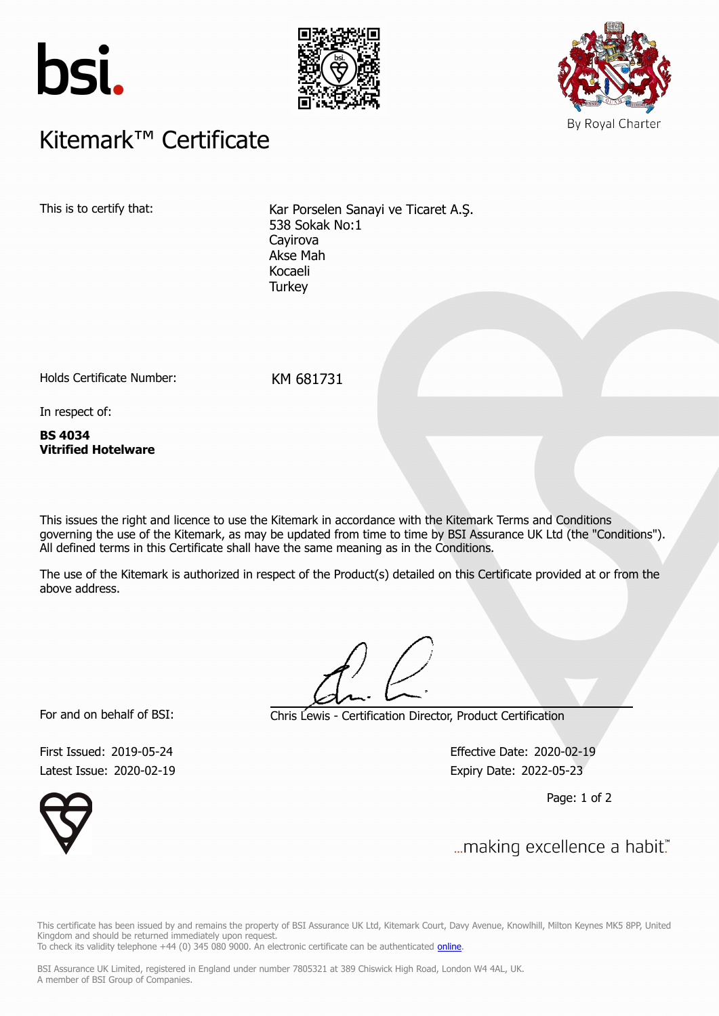





## $K$ itemark $W$  Certificate Kitemark™ Certificate

This is to certify that: Kar Porselen Sanayi ve Ticaret A.S. 538 Sokak No:1 Cayirova Akse Mah Kocaeli **Turkey** 

Holds Certificate Number: KM 681731

In respect of:

**BS 4034 Vitrified Hotelware**

This issues the right and licence to use the Kitemark in accordance with the Kitemark Terms and Conditions governing the use of the Kitemark, as may be updated from time to time by BSI Assurance UK Ltd (the "Conditions"). All defined terms in this Certificate shall have the same meaning as in the Conditions.

The use of the Kitemark is authorized in respect of the Product(s) detailed on this Certificate provided at or from the above address.

For and on behalf of BSI: Chris Lewis - Certification Director, Product Certification

Latest Issue: 2020-02-19 **Expiry Date: 2022-05-23** 

First Issued: 2019-05-24 Effective Date: 2020-02-19

Page: 1 of 2



This certificate has been issued by and remains the property of BSI Assurance UK Ltd, Kitemark Court, Davy Avenue, Knowlhill, Milton Keynes MK5 8PP, United Kingdom and should be returned immediately upon request. To check its validity telephone +44 (0) 345 080 9000. An electronic certificate can be authenticated *[online](https://pgplus.bsigroup.com/CertificateValidation/CertificateValidator.aspx?CertificateNumber=KM+681731&ReIssueDate=19%2f02%2f2020&Template=uk)*.

First Issued: 2019-05-24 Effective Date: 2020-02-19

BSI Assurance UK Limited, registered in England under number 7805321 at 389 Chiswick High Road, London W4 4AL, UK. A member of BSI Group of Companies.